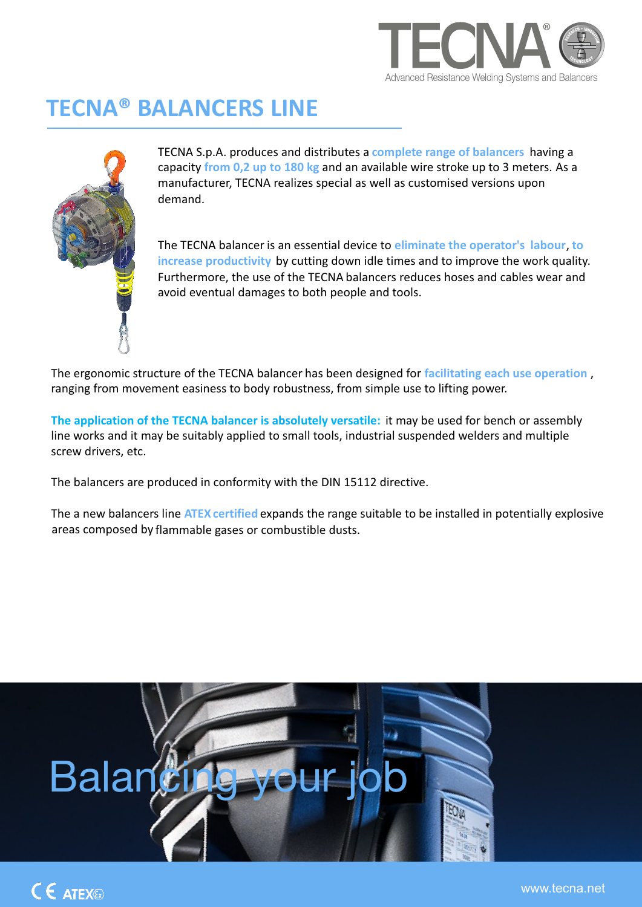

## **TECNA® BALANCERS LINE**



TECNA S.p.A. produces and distributes a **complete range of balancers** having a capacity **from 0,2 up to 180 kg** and an available wire stroke up to 3 meters. As a manufacturer, TECNA realizes special as well as customised versions upon demand.

The TECNA balancer is an essential device to **eliminate the operator's labour**, **to increase productivity** by cutting down idle times and to improve the work quality. Furthermore, the use of the TECNA balancers reduces hoses and cables wear and avoid eventual damages to both people and tools.

The ergonomic structure of the TECNA balancer has been designed for **facilitating each use operation** , ranging from movement easiness to body robustness, from simple use to lifting power.

**The application of the TECNA balancer is absolutely versatile:** it may be used for bench or assembly line works and it may be suitably applied to small tools, industrial suspended welders and multiple screw drivers, etc.

The balancers are produced in conformity with the DIN 15112 directive.

The a new balancers line ATEX certified expands the range suitable to be installed in potentially explosive areas composed by flammable gases or combustible dusts.